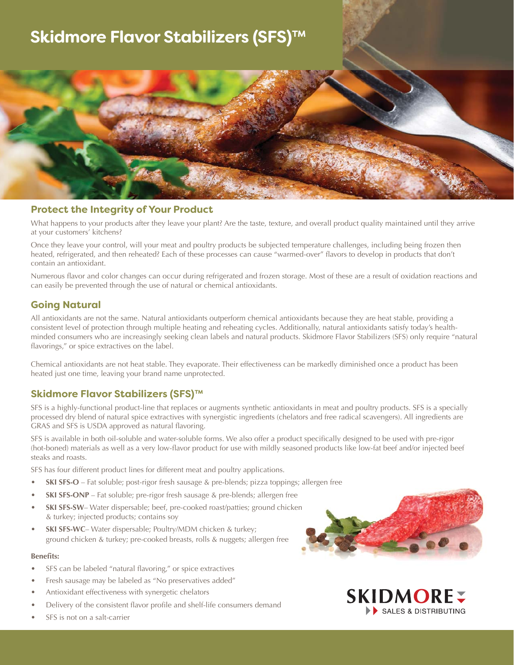# **Skidmore Flavor Stabilizers (SFS)™**



### **Protect the Integrity of Your Product**

What happens to your products after they leave your plant? Are the taste, texture, and overall product quality maintained until they arrive at your customers' kitchens?

Once they leave your control, will your meat and poultry products be subjected temperature challenges, including being frozen then heated, refrigerated, and then reheated? Each of these processes can cause "warmed-over" flavors to develop in products that don't contain an antioxidant.

Numerous flavor and color changes can occur during refrigerated and frozen storage. Most of these are a result of oxidation reactions and can easily be prevented through the use of natural or chemical antioxidants.

# **Going Natural**

All antioxidants are not the same. Natural antioxidants outperform chemical antioxidants because they are heat stable, providing a consistent level of protection through multiple heating and reheating cycles. Additionally, natural antioxidants satisfy today's healthminded consumers who are increasingly seeking clean labels and natural products. Skidmore Flavor Stabilizers (SFS) only require "natural flavorings," or spice extractives on the label.

Chemical antioxidants are not heat stable. They evaporate. Their effectiveness can be markedly diminished once a product has been heated just one time, leaving your brand name unprotected.

# **Skidmore Flavor Stabilizers (SFS)™**

SFS is a highly-functional product-line that replaces or augments synthetic antioxidants in meat and poultry products. SFS is a specially processed dry blend of natural spice extractives with synergistic ingredients (chelators and free radical scavengers). All ingredients are GRAS and SFS is USDA approved as natural flavoring.

SFS is available in both oil-soluble and water-soluble forms. We also offer a product specifically designed to be used with pre-rigor (hot-boned) materials as well as a very low-flavor product for use with mildly seasoned products like low-fat beef and/or injected beef steaks and roasts.

SFS has four different product lines for different meat and poultry applications.

- **SKI SFS-O** Fat soluble; post-rigor fresh sausage & pre-blends; pizza toppings; allergen free
- **SKI SFS-ONP** Fat soluble; pre-rigor fresh sausage & pre-blends; allergen free
- **SKI SFS-SW** Water dispersable; beef, pre-cooked roast/patties; ground chicken & turkey; injected products; contains soy
- **SKI SFS-WC** Water dispersable; Poultry/MDM chicken & turkey; ground chicken & turkey; pre-cooked breasts, rolls & nuggets; allergen free

#### **Benefits:**

- SFS can be labeled "natural flavoring," or spice extractives
- Fresh sausage may be labeled as "No preservatives added"
- Antioxidant effectiveness with synergetic chelators
- Delivery of the consistent flavor profile and shelf-life consumers demand
- SFS is not on a salt-carrier